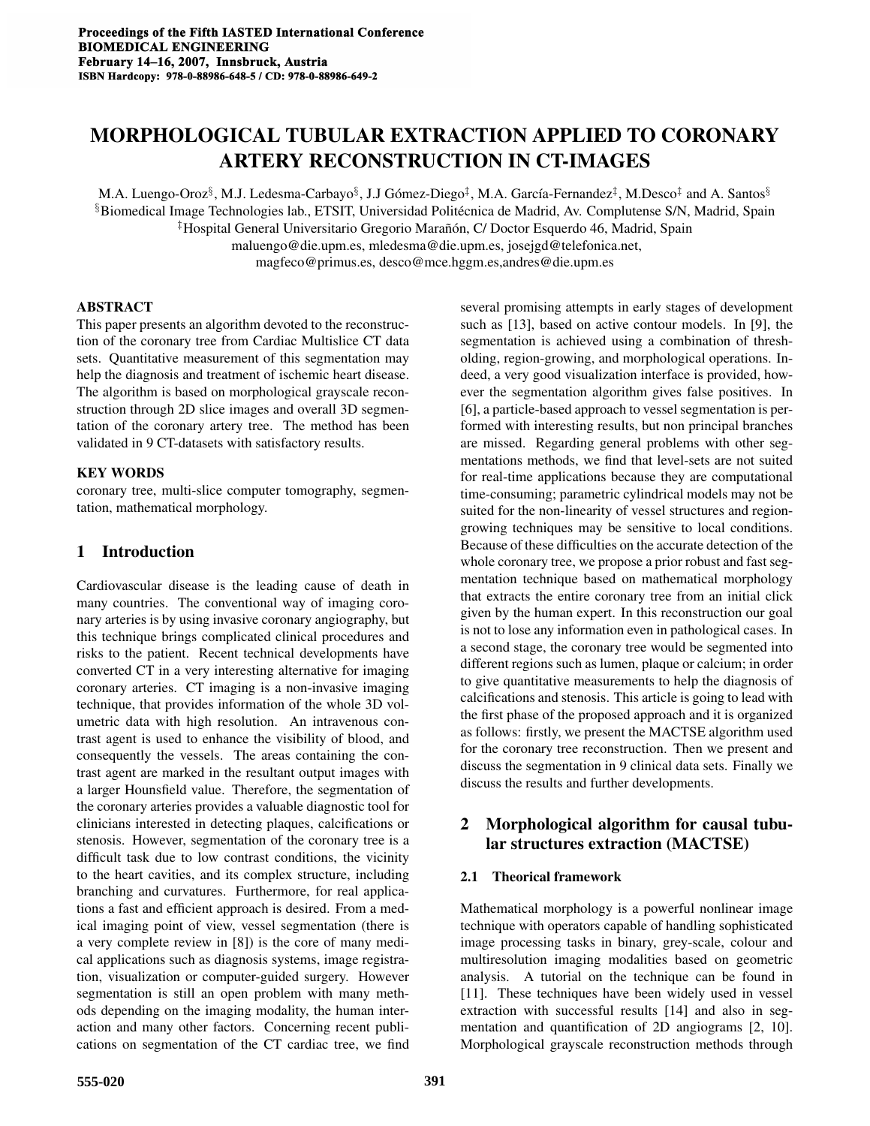# MORPHOLOGICAL TUBULAR EXTRACTION APPLIED TO CORONARY ARTERY RECONSTRUCTION IN CT-IMAGES

M.A. Luengo-Oroz $^{\S}$ , M.J. Ledesma-Carbayo $^{\S}$ , J.J Gómez-Diego $^{\ddagger}$ , M.A. García-Fernandez $^{\ddagger}$ , M.Desco $^{\ddagger}$  and A. Santos $^{\S}$ §Biomedical Image Technologies lab., ETSIT, Universidad Politecnica de Madrid, Av. Complutense S/N, Madrid, Spain ´ ‡Hospital General Universitario Gregorio Maran˜on, C/ Doctor Esquerdo 46, Madrid, Spain ´ maluengo@die.upm.es, mledesma@die.upm.es, josejgd@telefonica.net, magfeco@primus.es, desco@mce.hggm.es,andres@die.upm.es

## ABSTRACT

This paper presents an algorithm devoted to the reconstruction of the coronary tree from Cardiac Multislice CT data sets. Quantitative measurement of this segmentation may help the diagnosis and treatment of ischemic heart disease. The algorithm is based on morphological grayscale reconstruction through 2D slice images and overall 3D segmentation of the coronary artery tree. The method has been validated in 9 CT-datasets with satisfactory results.

# KEY WORDS

coronary tree, multi-slice computer tomography, segmentation, mathematical morphology.

# 1 Introduction

Cardiovascular disease is the leading cause of death in many countries. The conventional way of imaging coronary arteries is by using invasive coronary angiography, but this technique brings complicated clinical procedures and risks to the patient. Recent technical developments have converted CT in a very interesting alternative for imaging coronary arteries. CT imaging is a non-invasive imaging technique, that provides information of the whole 3D volumetric data with high resolution. An intravenous contrast agent is used to enhance the visibility of blood, and consequently the vessels. The areas containing the contrast agent are marked in the resultant output images with a larger Hounsfield value. Therefore, the segmentation of the coronary arteries provides a valuable diagnostic tool for clinicians interested in detecting plaques, calcifications or stenosis. However, segmentation of the coronary tree is a difficult task due to low contrast conditions, the vicinity to the heart cavities, and its complex structure, including branching and curvatures. Furthermore, for real applications a fast and efficient approach is desired. From a medical imaging point of view, vessel segmentation (there is a very complete review in [8]) is the core of many medical applications such as diagnosis systems, image registration, visualization or computer-guided surgery. However segmentation is still an open problem with many methods depending on the imaging modality, the human interaction and many other factors. Concerning recent publications on segmentation of the CT cardiac tree, we find

such as [13], based on active contour models. In [9], the segmentation is achieved using a combination of thresholding, region-growing, and morphological operations. Indeed, a very good visualization interface is provided, however the segmentation algorithm gives false positives. In [6], a particle-based approach to vessel segmentation is performed with interesting results, but non principal branches are missed. Regarding general problems with other segmentations methods, we find that level-sets are not suited for real-time applications because they are computational time-consuming; parametric cylindrical models may not be suited for the non-linearity of vessel structures and regiongrowing techniques may be sensitive to local conditions. Because of these difficulties on the accurate detection of the whole coronary tree, we propose a prior robust and fast segmentation technique based on mathematical morphology that extracts the entire coronary tree from an initial click given by the human expert. In this reconstruction our goal is not to lose any information even in pathological cases. In a second stage, the coronary tree would be segmented into different regions such as lumen, plaque or calcium; in order to give quantitative measurements to help the diagnosis of calcifications and stenosis. This article is going to lead with the first phase of the proposed approach and it is organized as follows: firstly, we present the MACTSE algorithm used for the coronary tree reconstruction. Then we present and discuss the segmentation in 9 clinical data sets. Finally we discuss the results and further developments.

several promising attempts in early stages of development

# 2 Morphological algorithm for causal tubular structures extraction (MACTSE)

# 2.1 Theorical framework

Mathematical morphology is a powerful nonlinear image technique with operators capable of handling sophisticated image processing tasks in binary, grey-scale, colour and multiresolution imaging modalities based on geometric analysis. A tutorial on the technique can be found in [11]. These techniques have been widely used in vessel extraction with successful results [14] and also in segmentation and quantification of 2D angiograms [2, 10]. Morphological grayscale reconstruction methods through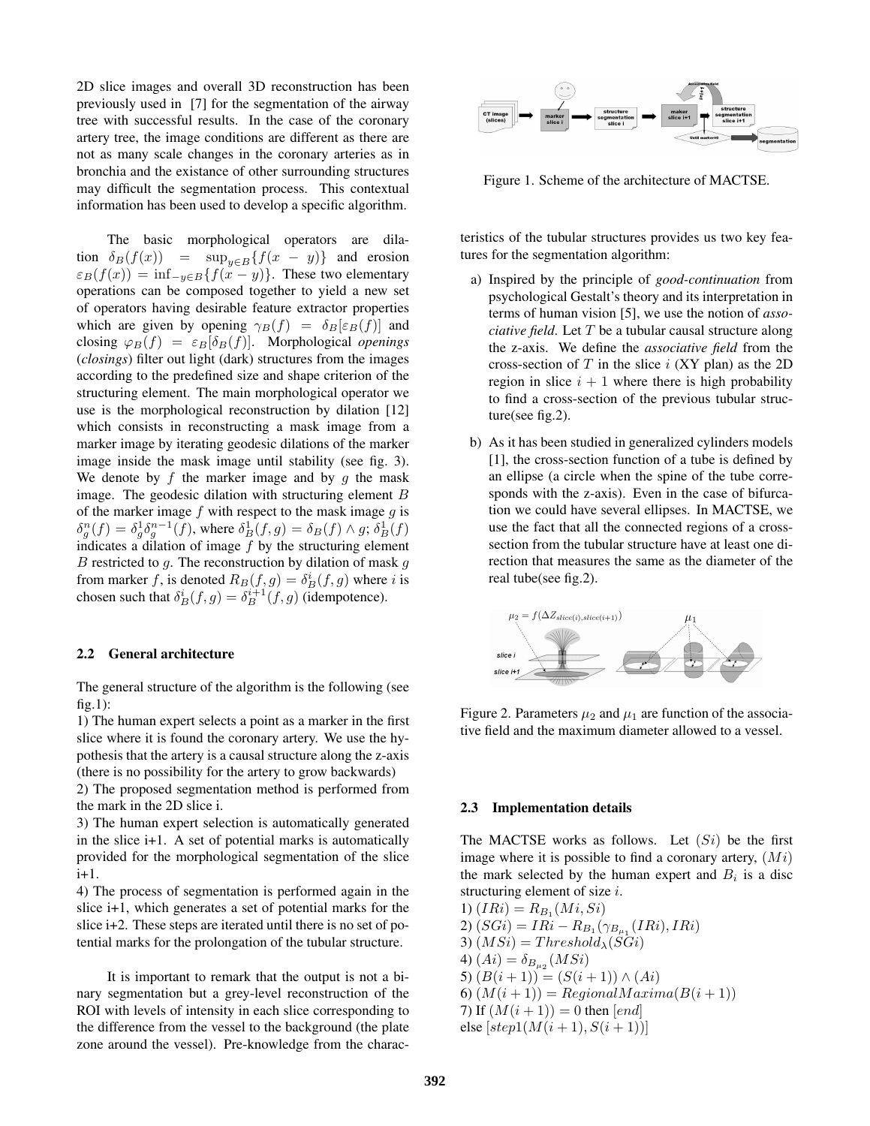2D slice images and overall 3D reconstruction has been previously used in [7] for the segmentation of the airway tree with successful results. In the case of the coronary artery tree, the image conditions are different as there are not as many scale changes in the coronary arteries as in bronchia and the existance of other surrounding structures may difficult the segmentation process. This contextual information has been used to develop a specific algorithm.

The basic morphological operators are dilation  $\delta_B(f(x)) = \sup_{y \in B} \{f(x - y)\}\$ and erosion  $\varepsilon_B(f(x)) = \inf_{-y \in B} \{f(x - y)\}.$  These two elementary operations can be composed together to yield a new set of operators having desirable feature extractor properties which are given by opening  $\gamma_B(f) = \delta_B[\varepsilon_B(f)]$  and closing  $\varphi_B(f) = \varepsilon_B[\delta_B(f)]$ . Morphological *openings* (*closings*) filter out light (dark) structures from the images according to the predefined size and shape criterion of the structuring element. The main morphological operator we use is the morphological reconstruction by dilation [12] which consists in reconstructing a mask image from a marker image by iterating geodesic dilations of the marker image inside the mask image until stability (see fig. 3). We denote by  $f$  the marker image and by  $g$  the mask image. The geodesic dilation with structuring element  $B$ of the marker image  $f$  with respect to the mask image  $g$  is  $\delta_g^n(f) = \delta_g^1 \delta_g^{n-1}(f)$ , where  $\delta_B^1(f,g) = \delta_B(f) \wedge g$ ;  $\delta_B^1(f)$ indicates a dilation of image  $f$  by the structuring element  $B$  restricted to  $g$ . The reconstruction by dilation of mask  $g$ from marker f, is denoted  $R_B(f, g) = \delta_B^i(f, g)$  where i is chosen such that  $\delta_B^i(f, g) = \delta_B^{i+1}(f, g)$  (idempotence).

#### 2.2 General architecture

The general structure of the algorithm is the following (see  $fig.1)$ :

1) The human expert selects a point as a marker in the first slice where it is found the coronary artery. We use the hypothesis that the artery is a causal structure along the z-axis (there is no possibility for the artery to grow backwards)

2) The proposed segmentation method is performed from the mark in the 2D slice i.

3) The human expert selection is automatically generated in the slice i+1. A set of potential marks is automatically provided for the morphological segmentation of the slice i+1.

4) The process of segmentation is performed again in the slice i+1, which generates a set of potential marks for the slice i+2. These steps are iterated until there is no set of potential marks for the prolongation of the tubular structure.

It is important to remark that the output is not a binary segmentation but a grey-level reconstruction of the ROI with levels of intensity in each slice corresponding to the difference from the vessel to the background (the plate zone around the vessel). Pre-knowledge from the charac-



Figure 1. Scheme of the architecture of MACTSE.

teristics of the tubular structures provides us two key features for the segmentation algorithm:

- a) Inspired by the principle of *good-continuation* from psychological Gestalt's theory and its interpretation in terms of human vision [5], we use the notion of *associative field*. Let T be a tubular causal structure along the z-axis. We define the *associative field* from the cross-section of  $T$  in the slice  $i$  (XY plan) as the 2D region in slice  $i + 1$  where there is high probability to find a cross-section of the previous tubular structure(see fig.2).
- b) As it has been studied in generalized cylinders models [1], the cross-section function of a tube is defined by an ellipse (a circle when the spine of the tube corresponds with the z-axis). Even in the case of bifurcation we could have several ellipses. In MACTSE, we use the fact that all the connected regions of a crosssection from the tubular structure have at least one direction that measures the same as the diameter of the real tube(see fig.2).



Figure 2. Parameters  $\mu_2$  and  $\mu_1$  are function of the associative field and the maximum diameter allowed to a vessel.

#### 2.3 Implementation details

The MACTSE works as follows. Let  $(S_i)$  be the first image where it is possible to find a coronary artery,  $(Mi)$ the mark selected by the human expert and  $B_i$  is a disc structuring element of size  $i$ .

1)  $(IRi) = R_{B_1}(Mi, Si)$ 2)  $(SGi) = IRi - R_{B_1}(\gamma_{B_{\mu_1}}(IRi),IRi)$ 3)  $(MSi) = Threshold_{\lambda}(SGi)$ 4)  $(Ai) = \delta_{B_{\mu_2}}(MSi)$ 5)  $(B(i + 1)) = (S(i + 1)) \wedge (Ai)$ 6)  $(M(i+1)) = RegionalMaxima(B(i+1))$ 7) If  $(M(i + 1)) = 0$  then [end] else  $[step1(M(i + 1), S(i + 1))]$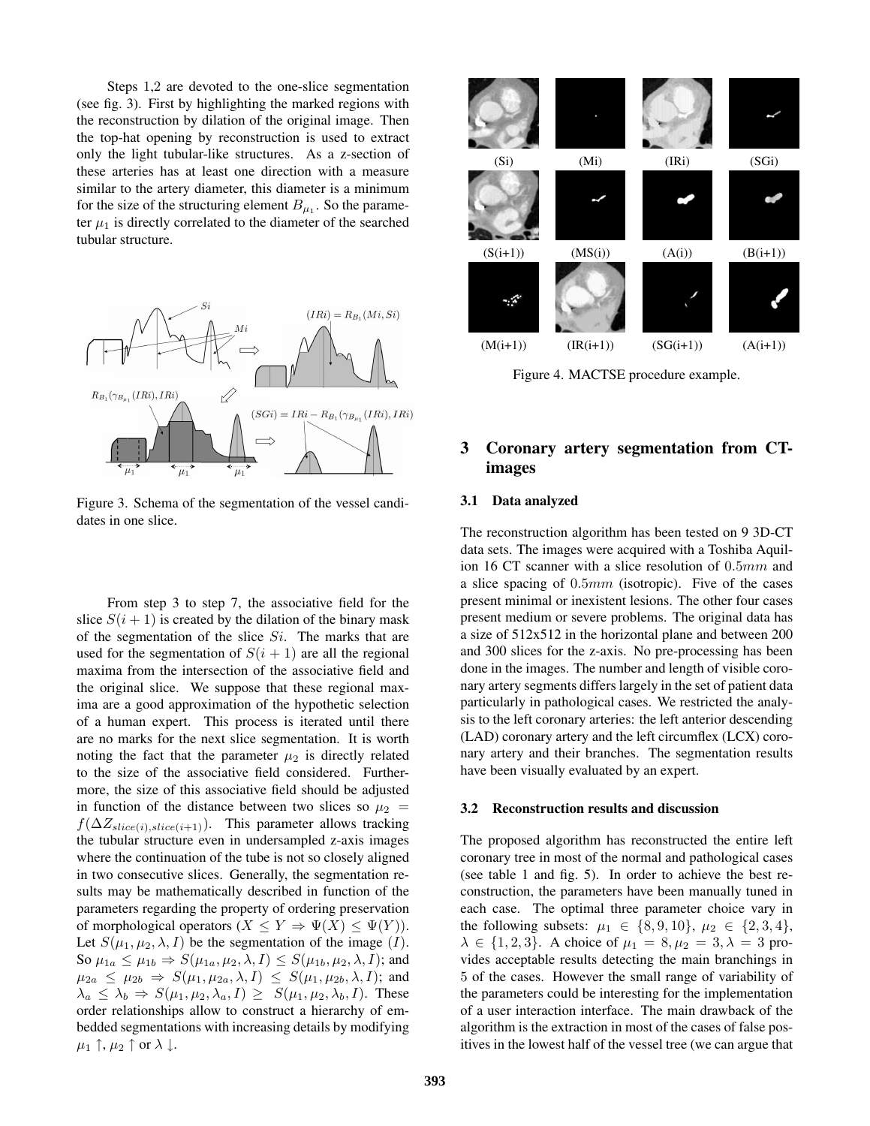Steps 1,2 are devoted to the one-slice segmentation (see fig. 3). First by highlighting the marked regions with the reconstruction by dilation of the original image. Then the top-hat opening by reconstruction is used to extract only the light tubular-like structures. As a z-section of these arteries has at least one direction with a measure similar to the artery diameter, this diameter is a minimum for the size of the structuring element  $B_{\mu_1}$ . So the parameter  $\mu_1$  is directly correlated to the diameter of the searched tubular structure.



Figure 3. Schema of the segmentation of the vessel candidates in one slice.

From step 3 to step 7, the associative field for the slice  $S(i + 1)$  is created by the dilation of the binary mask of the segmentation of the slice  $Si$ . The marks that are used for the segmentation of  $S(i + 1)$  are all the regional maxima from the intersection of the associative field and the original slice. We suppose that these regional maxima are a good approximation of the hypothetic selection of a human expert. This process is iterated until there are no marks for the next slice segmentation. It is worth noting the fact that the parameter  $\mu_2$  is directly related to the size of the associative field considered. Furthermore, the size of this associative field should be adjusted in function of the distance between two slices so  $\mu_2$  =  $f(\Delta Z_{slice(i),slice(i+1)})$ . This parameter allows tracking the tubular structure even in undersampled z-axis images where the continuation of the tube is not so closely aligned in two consecutive slices. Generally, the segmentation results may be mathematically described in function of the parameters regarding the property of ordering preservation of morphological operators  $(X \le Y \Rightarrow \Psi(X) \le \Psi(Y)).$ Let  $S(\mu_1, \mu_2, \lambda, I)$  be the segmentation of the image  $(I)$ . So  $\mu_{1a} \leq \mu_{1b} \Rightarrow S(\mu_{1a}, \mu_2, \lambda, I) \leq S(\mu_{1b}, \mu_2, \lambda, I)$ ; and  $\mu_{2a} \leq \mu_{2b} \Rightarrow S(\mu_1, \mu_{2a}, \lambda, I) \leq S(\mu_1, \mu_{2b}, \lambda, I);$  and  $\lambda_a \leq \lambda_b \Rightarrow S(\mu_1, \mu_2, \lambda_a, I) \geq S(\mu_1, \mu_2, \lambda_b, I)$ . These order relationships allow to construct a hierarchy of embedded segmentations with increasing details by modifying  $\mu_1 \uparrow, \mu_2 \uparrow$  or  $\lambda \downarrow$ .



Figure 4. MACTSE procedure example.

# 3 Coronary artery segmentation from CTimages

### 3.1 Data analyzed

The reconstruction algorithm has been tested on 9 3D-CT data sets. The images were acquired with a Toshiba Aquilion 16 CT scanner with a slice resolution of 0.5mm and a slice spacing of  $0.5mm$  (isotropic). Five of the cases present minimal or inexistent lesions. The other four cases present medium or severe problems. The original data has a size of 512x512 in the horizontal plane and between 200 and 300 slices for the z-axis. No pre-processing has been done in the images. The number and length of visible coronary artery segments differs largely in the set of patient data particularly in pathological cases. We restricted the analysis to the left coronary arteries: the left anterior descending (LAD) coronary artery and the left circumflex (LCX) coronary artery and their branches. The segmentation results have been visually evaluated by an expert.

#### 3.2 Reconstruction results and discussion

The proposed algorithm has reconstructed the entire left coronary tree in most of the normal and pathological cases (see table 1 and fig. 5). In order to achieve the best reconstruction, the parameters have been manually tuned in each case. The optimal three parameter choice vary in the following subsets:  $\mu_1 \in \{8, 9, 10\}, \mu_2 \in \{2, 3, 4\},\$  $\lambda \in \{1, 2, 3\}$ . A choice of  $\mu_1 = 8, \mu_2 = 3, \lambda = 3$  provides acceptable results detecting the main branchings in 5 of the cases. However the small range of variability of the parameters could be interesting for the implementation of a user interaction interface. The main drawback of the algorithm is the extraction in most of the cases of false positives in the lowest half of the vessel tree (we can argue that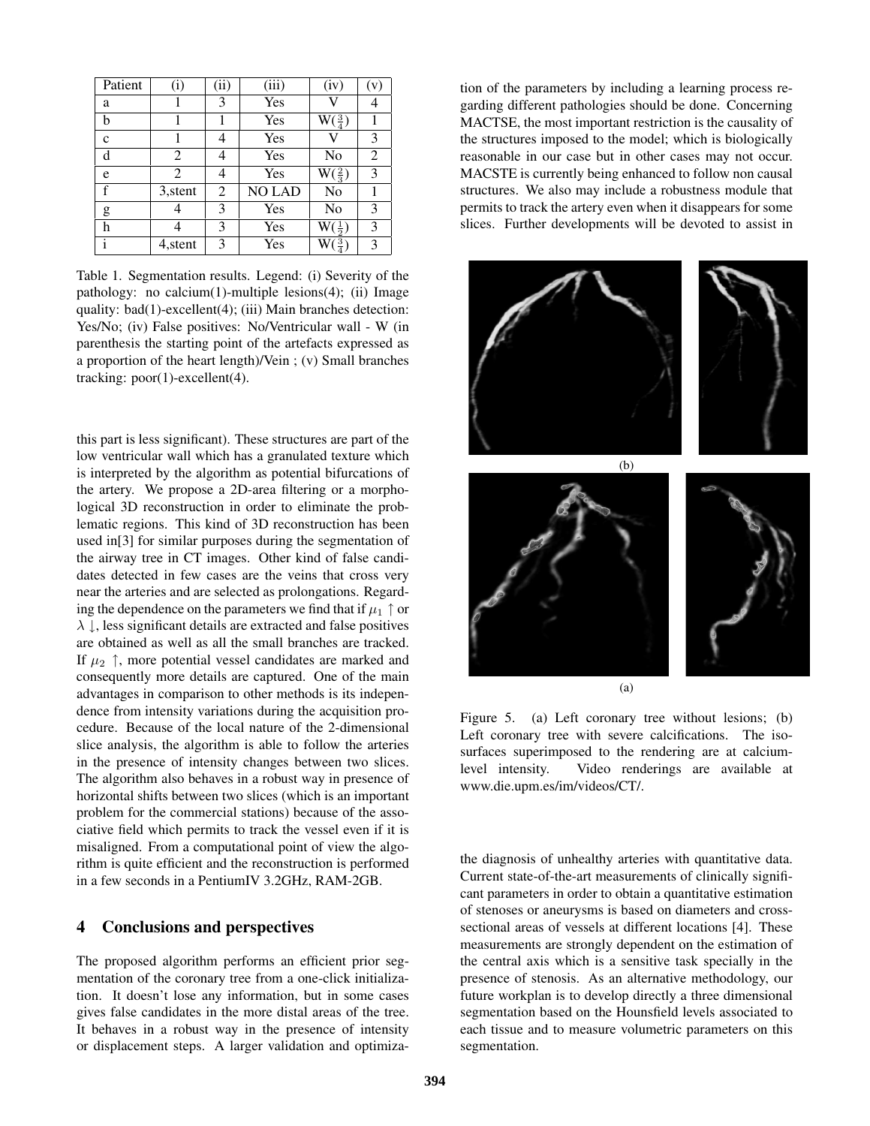| Patient      | (i)      | (ii) | (iii)         | (iv)                       | (v) |
|--------------|----------|------|---------------|----------------------------|-----|
| a            |          | 3    | Yes           |                            | 4   |
| b            |          |      | Yes           | $\mathrm{W}(\tfrac{3}{4})$ |     |
| $\mathbf c$  |          | 4    | Yes           |                            | 3   |
| d            | 2        | 4    | Yes           | No                         | 2   |
| e            | 2        | 4    | Yes           | $\mathrm{W}(\frac{2}{3})$  | 3   |
| f            | 3, stent | 2    | <b>NO LAD</b> | No                         |     |
| g            |          | 3    | Yes           | No                         | 3   |
| h            |          | 3    | Yes           | $W(\frac{1}{2})$           | 3   |
| $\mathbf{i}$ | 4, stent | 3    | Yes           | $\mathrm{W}(\frac{3}{4})$  | 3   |

Table 1. Segmentation results. Legend: (i) Severity of the pathology: no calcium(1)-multiple lesions(4); (ii) Image quality: bad(1)-excellent(4); (iii) Main branches detection: Yes/No; (iv) False positives: No/Ventricular wall - W (in parenthesis the starting point of the artefacts expressed as a proportion of the heart length)/Vein ; (v) Small branches tracking: poor(1)-excellent(4).

this part is less significant). These structures are part of the low ventricular wall which has a granulated texture which is interpreted by the algorithm as potential bifurcations of the artery. We propose a 2D-area filtering or a morphological 3D reconstruction in order to eliminate the problematic regions. This kind of 3D reconstruction has been used in[3] for similar purposes during the segmentation of the airway tree in CT images. Other kind of false candidates detected in few cases are the veins that cross very near the arteries and are selected as prolongations. Regarding the dependence on the parameters we find that if  $\mu_1 \uparrow$  or  $\lambda \downarrow$ , less significant details are extracted and false positives are obtained as well as all the small branches are tracked. If  $\mu_2$   $\uparrow$ , more potential vessel candidates are marked and consequently more details are captured. One of the main advantages in comparison to other methods is its independence from intensity variations during the acquisition procedure. Because of the local nature of the 2-dimensional slice analysis, the algorithm is able to follow the arteries in the presence of intensity changes between two slices. The algorithm also behaves in a robust way in presence of horizontal shifts between two slices (which is an important problem for the commercial stations) because of the associative field which permits to track the vessel even if it is misaligned. From a computational point of view the algorithm is quite efficient and the reconstruction is performed in a few seconds in a PentiumIV 3.2GHz, RAM-2GB.

## 4 Conclusions and perspectives

The proposed algorithm performs an efficient prior segmentation of the coronary tree from a one-click initialization. It doesn't lose any information, but in some cases gives false candidates in the more distal areas of the tree. It behaves in a robust way in the presence of intensity or displacement steps. A larger validation and optimiza-

tion of the parameters by including a learning process regarding different pathologies should be done. Concerning MACTSE, the most important restriction is the causality of the structures imposed to the model; which is biologically reasonable in our case but in other cases may not occur. MACSTE is currently being enhanced to follow non causal structures. We also may include a robustness module that permits to track the artery even when it disappears for some slices. Further developments will be devoted to assist in



Figure 5. (a) Left coronary tree without lesions; (b) Left coronary tree with severe calcifications. The isosurfaces superimposed to the rendering are at calciumlevel intensity. Video renderings are available at www.die.upm.es/im/videos/CT/.

the diagnosis of unhealthy arteries with quantitative data. Current state-of-the-art measurements of clinically significant parameters in order to obtain a quantitative estimation of stenoses or aneurysms is based on diameters and crosssectional areas of vessels at different locations [4]. These measurements are strongly dependent on the estimation of the central axis which is a sensitive task specially in the presence of stenosis. As an alternative methodology, our future workplan is to develop directly a three dimensional segmentation based on the Hounsfield levels associated to each tissue and to measure volumetric parameters on this segmentation.